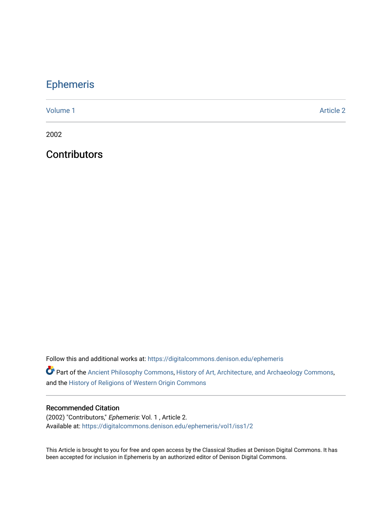## [Ephemeris](https://digitalcommons.denison.edu/ephemeris)

[Volume 1](https://digitalcommons.denison.edu/ephemeris/vol1) Article 2

2002

**Contributors** 

Follow this and additional works at: [https://digitalcommons.denison.edu/ephemeris](https://digitalcommons.denison.edu/ephemeris?utm_source=digitalcommons.denison.edu%2Fephemeris%2Fvol1%2Fiss1%2F2&utm_medium=PDF&utm_campaign=PDFCoverPages) 

Part of the [Ancient Philosophy Commons](http://network.bepress.com/hgg/discipline/448?utm_source=digitalcommons.denison.edu%2Fephemeris%2Fvol1%2Fiss1%2F2&utm_medium=PDF&utm_campaign=PDFCoverPages), [History of Art, Architecture, and Archaeology Commons](http://network.bepress.com/hgg/discipline/510?utm_source=digitalcommons.denison.edu%2Fephemeris%2Fvol1%2Fiss1%2F2&utm_medium=PDF&utm_campaign=PDFCoverPages), and the [History of Religions of Western Origin Commons](http://network.bepress.com/hgg/discipline/542?utm_source=digitalcommons.denison.edu%2Fephemeris%2Fvol1%2Fiss1%2F2&utm_medium=PDF&utm_campaign=PDFCoverPages)

## Recommended Citation

(2002) "Contributors," Ephemeris: Vol. 1 , Article 2. Available at: [https://digitalcommons.denison.edu/ephemeris/vol1/iss1/2](https://digitalcommons.denison.edu/ephemeris/vol1/iss1/2?utm_source=digitalcommons.denison.edu%2Fephemeris%2Fvol1%2Fiss1%2F2&utm_medium=PDF&utm_campaign=PDFCoverPages)

This Article is brought to you for free and open access by the Classical Studies at Denison Digital Commons. It has been accepted for inclusion in Ephemeris by an authorized editor of Denison Digital Commons.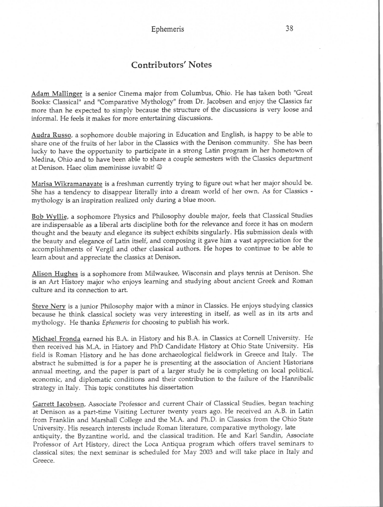## Contributors' Notes

Adam Mallinger is a senior Cinema major from Columbus, Ohio. He has taken both "Great Books: Classical" and "Comparative Mythology" from Dr. Jacobsen and enjoy the Classics far more than he expected to simply because the structure of the discussions is very loose and informal. He feels it makes for more entertaining discussions.

Audra Russo, a sophomore double majoring in Education and English, is happy to be able to share one of the fruits of her labor in the Classics with the Denison community. She has been lucky to have the opportunity to participate in a strong Latin program in her hometown of Medina, Ohio and to have been able to share a couple semesters with the Classics department at Denison. Haec olim meminisse iuvabit! ©

Marisa Wilcramanayate is a freshman currently trying to figure out what her major should be. She has a tendency to disappear literally into a dream world of her own. As for Classics mythology is an inspiration realized only during a blue moon.

Bob Wyllie, a sophomore Physics and Philosophy double major, feels that Classical Studies are indispensable as a liberal arts discipline both for the relevance and force it has on modern thought and the beauty and elegance its subject exhibits singularly. His submission deals with the beauty and elegance of Latin itself, and composing it gave him a vast appreciation for the accomplishments of Vergil and other classical authors. He hopes to continue to be able to learn about and appreciate the classics at Denison.

Alison Hughes is a sophomore from Milwaukee, Wisconsin and plays tennis at Denison. She is an Art History major who enjoys learning and studying about ancient Greek and Roman culture and its connection to art.

Steve Nery is a junior Philosophy major with a minor in Classics. He enjoys studying classics because he think classical society was very interesting in itself, as well as in its arts and mythology. He thanks *Ephemeris* for choosing to publish his work.

Michael Fronda earned his B.A. in History and his B.A. in Classics at Cornell University. He then received his M.A. in History and PhD Candidate History at Ohio State University. His field is Roman History and he has done archaeological fieldwork in Greece and Italy. The abstract he submitted is for a paper he is presenting at the association of Ancient Historians annual meeting, and the paper is part of a larger study he is completing on local political, economic, and diplomatic conditions and their contribution to the failure of the Hannibalic strategy in Italy. This topic constitutes his dissertation

Garrett Tacobsen, Associate Professor and current Chair of Classical Studies, began teaching at Denison as a part-time Visiting Lecturer twenty years ago. He received an A.B. in Latin from Franklin and Marshall College and the M.A. and Ph.D. in Classics from the Ohio State University. His research interests include Roman literature, comparative mythology, late antiquity, the Byzantine world, and the classical tradition. He and Karl Sandin, Associate Professor of Art History, direct the Loca Antiqua program which offers travel seminars to classical sites; the next seminar is scheduled for May 2003 and will take place in Italy and Greece.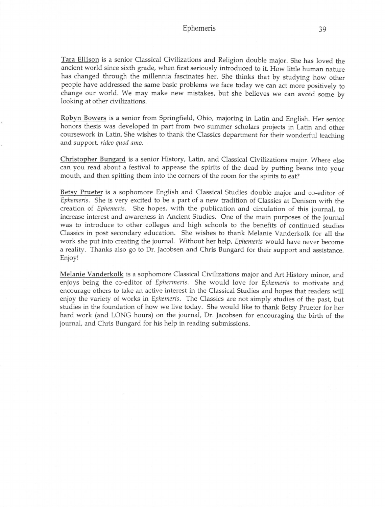## Ephemeris 39

Tara Ellison is a senior Classical Civilizations and Religion double major. She has loved the ancient world since sixth grade, when first seriously introduced to it. How little human nature has changed through the millennia fascinates her. She thinks that by studying how other people have addressed the same basic problems we face today we can act more positively to change our world. We may make new mistakes, but she believes we can avoid some by looking at other civilizations.

Robyn Bowers is a senior from Springfield, Ohio, majoring in Latin and English. Her senior honors thesis was developed in part from two summer scholars projects in Latin and other coursework in Latin. She wishes to thank the Classics department for their wonderful teaching and support, *rideo quod amo.*

Christopher Bungard is a senior History, Latin, and Classical Civilizations major. Where else can you read about a festival to appease the spirits of the dead by putting beans into your mouth, and then spitting them into the corners of the room for the spirits to eat?

Betsy Prueter is a sophomore English and Classical Studies double major and co-editor of *Ephemeris.* She is very excited to be a part of a new tradition of Classics at Denison with the creation of *Ephemeris.* She hopes, with the publication and circulation of this journal, to increase interest and awareness in Ancient Studies. One of the main purposes of the journal was to introduce to other colleges and high schools to the benefits of continued studies Classics in post secondary education. She wishes to thank Melanie Vanderkolk for all the work she put into creating the journal. Without her help, *Ephemeris* would have never become a reality. Thanks also go to Dr. Jacobsen and Chris Bungard for their support and assistance. Enjoy!

Melanie Vanderkolk is a sophomore Classical Civilizations major and Art History minor, and enjoys being the co-editor of *Ephermeris.* She would love for *Ephemeris* to motivate and encourage others to take an active interest in the Classical Studies and hopes that readers will enjoy the variety of works in *Ephemeris.* The Classics are not simply studies of the past, but studies in the foundation of how we live today. She would like to thank Betsy Prueter for her hard work (and LONG hours) on the journal, Dr. Jacobsen for encouraging the birth of the journal, and Chris Bungard for his help in reading submissions.